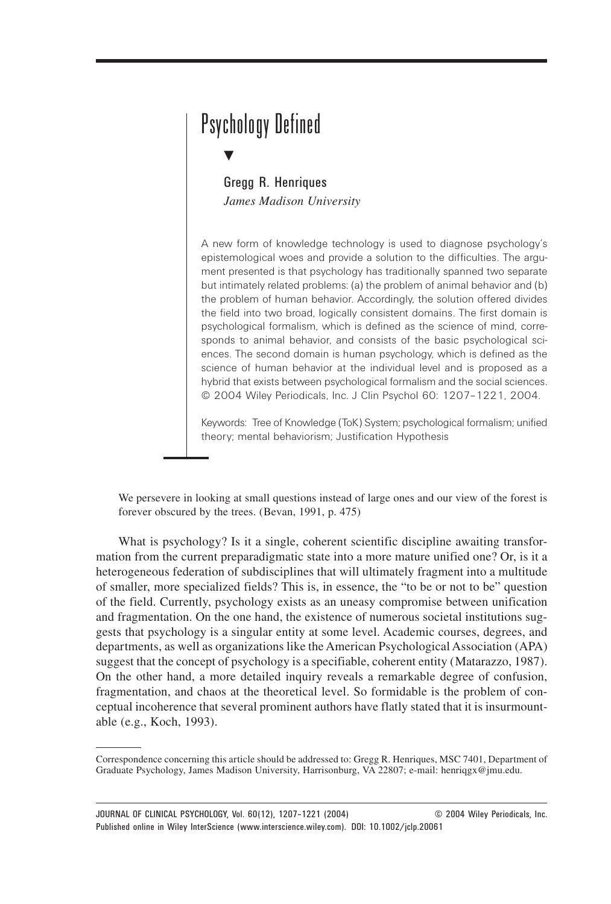# Psychology Defined

 $\blacktriangledown$ 

Gregg R. Henriques *James Madison University*

A new form of knowledge technology is used to diagnose psychology's epistemological woes and provide a solution to the difficulties. The argument presented is that psychology has traditionally spanned two separate but intimately related problems: (a) the problem of animal behavior and (b) the problem of human behavior. Accordingly, the solution offered divides the field into two broad, logically consistent domains. The first domain is psychological formalism, which is defined as the science of mind, corresponds to animal behavior, and consists of the basic psychological sciences. The second domain is human psychology, which is defined as the science of human behavior at the individual level and is proposed as a hybrid that exists between psychological formalism and the social sciences. © 2004 Wiley Periodicals, Inc. J Clin Psychol 60: 1207–1221, 2004.

Keywords: Tree of Knowledge (ToK) System; psychological formalism; unified theory; mental behaviorism; Justification Hypothesis

We persevere in looking at small questions instead of large ones and our view of the forest is forever obscured by the trees. (Bevan, 1991, p. 475)

What is psychology? Is it a single, coherent scientific discipline awaiting transformation from the current preparadigmatic state into a more mature unified one? Or, is it a heterogeneous federation of subdisciplines that will ultimately fragment into a multitude of smaller, more specialized fields? This is, in essence, the "to be or not to be" question of the field. Currently, psychology exists as an uneasy compromise between unification and fragmentation. On the one hand, the existence of numerous societal institutions suggests that psychology is a singular entity at some level. Academic courses, degrees, and departments, as well as organizations like the American Psychological Association (APA) suggest that the concept of psychology is a specifiable, coherent entity (Matarazzo, 1987). On the other hand, a more detailed inquiry reveals a remarkable degree of confusion, fragmentation, and chaos at the theoretical level. So formidable is the problem of conceptual incoherence that several prominent authors have flatly stated that it is insurmountable (e.g., Koch, 1993).

Correspondence concerning this article should be addressed to: Gregg R. Henriques, MSC 7401, Department of Graduate Psychology, James Madison University, Harrisonburg, VA 22807; e-mail: henriqgx@jmu.edu.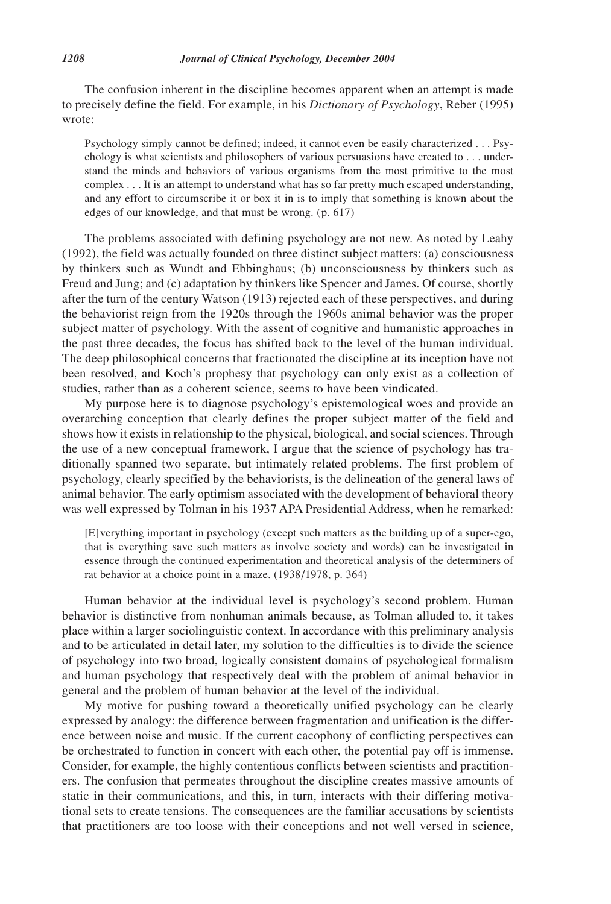The confusion inherent in the discipline becomes apparent when an attempt is made to precisely define the field. For example, in his *Dictionary of Psychology*, Reber (1995) wrote:

Psychology simply cannot be defined; indeed, it cannot even be easily characterized . . . Psychology is what scientists and philosophers of various persuasions have created to . . . understand the minds and behaviors of various organisms from the most primitive to the most complex . . . It is an attempt to understand what has so far pretty much escaped understanding, and any effort to circumscribe it or box it in is to imply that something is known about the edges of our knowledge, and that must be wrong. (p. 617)

The problems associated with defining psychology are not new. As noted by Leahy (1992), the field was actually founded on three distinct subject matters: (a) consciousness by thinkers such as Wundt and Ebbinghaus; (b) unconsciousness by thinkers such as Freud and Jung; and (c) adaptation by thinkers like Spencer and James. Of course, shortly after the turn of the century Watson (1913) rejected each of these perspectives, and during the behaviorist reign from the 1920s through the 1960s animal behavior was the proper subject matter of psychology. With the assent of cognitive and humanistic approaches in the past three decades, the focus has shifted back to the level of the human individual. The deep philosophical concerns that fractionated the discipline at its inception have not been resolved, and Koch's prophesy that psychology can only exist as a collection of studies, rather than as a coherent science, seems to have been vindicated.

My purpose here is to diagnose psychology's epistemological woes and provide an overarching conception that clearly defines the proper subject matter of the field and shows how it exists in relationship to the physical, biological, and social sciences. Through the use of a new conceptual framework, I argue that the science of psychology has traditionally spanned two separate, but intimately related problems. The first problem of psychology, clearly specified by the behaviorists, is the delineation of the general laws of animal behavior. The early optimism associated with the development of behavioral theory was well expressed by Tolman in his 1937 APA Presidential Address, when he remarked:

[E]verything important in psychology (except such matters as the building up of a super-ego, that is everything save such matters as involve society and words) can be investigated in essence through the continued experimentation and theoretical analysis of the determiners of rat behavior at a choice point in a maze. (1938/1978, p. 364)

Human behavior at the individual level is psychology's second problem. Human behavior is distinctive from nonhuman animals because, as Tolman alluded to, it takes place within a larger sociolinguistic context. In accordance with this preliminary analysis and to be articulated in detail later, my solution to the difficulties is to divide the science of psychology into two broad, logically consistent domains of psychological formalism and human psychology that respectively deal with the problem of animal behavior in general and the problem of human behavior at the level of the individual.

My motive for pushing toward a theoretically unified psychology can be clearly expressed by analogy: the difference between fragmentation and unification is the difference between noise and music. If the current cacophony of conflicting perspectives can be orchestrated to function in concert with each other, the potential pay off is immense. Consider, for example, the highly contentious conflicts between scientists and practitioners. The confusion that permeates throughout the discipline creates massive amounts of static in their communications, and this, in turn, interacts with their differing motivational sets to create tensions. The consequences are the familiar accusations by scientists that practitioners are too loose with their conceptions and not well versed in science,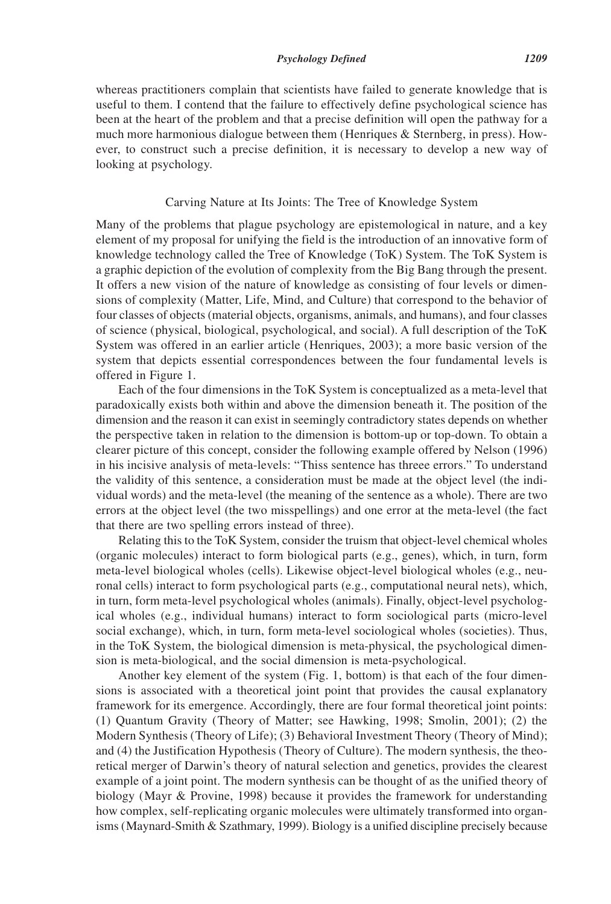whereas practitioners complain that scientists have failed to generate knowledge that is useful to them. I contend that the failure to effectively define psychological science has been at the heart of the problem and that a precise definition will open the pathway for a much more harmonious dialogue between them (Henriques  $&$  Sternberg, in press). However, to construct such a precise definition, it is necessary to develop a new way of looking at psychology.

#### Carving Nature at Its Joints: The Tree of Knowledge System

Many of the problems that plague psychology are epistemological in nature, and a key element of my proposal for unifying the field is the introduction of an innovative form of knowledge technology called the Tree of Knowledge (ToK) System. The ToK System is a graphic depiction of the evolution of complexity from the Big Bang through the present. It offers a new vision of the nature of knowledge as consisting of four levels or dimensions of complexity (Matter, Life, Mind, and Culture) that correspond to the behavior of four classes of objects (material objects, organisms, animals, and humans), and four classes of science (physical, biological, psychological, and social). A full description of the ToK System was offered in an earlier article (Henriques, 2003); a more basic version of the system that depicts essential correspondences between the four fundamental levels is offered in Figure 1.

Each of the four dimensions in the ToK System is conceptualized as a meta-level that paradoxically exists both within and above the dimension beneath it. The position of the dimension and the reason it can exist in seemingly contradictory states depends on whether the perspective taken in relation to the dimension is bottom-up or top-down. To obtain a clearer picture of this concept, consider the following example offered by Nelson (1996) in his incisive analysis of meta-levels: "Thiss sentence has threee errors." To understand the validity of this sentence, a consideration must be made at the object level (the individual words) and the meta-level (the meaning of the sentence as a whole). There are two errors at the object level (the two misspellings) and one error at the meta-level (the fact that there are two spelling errors instead of three).

Relating this to the ToK System, consider the truism that object-level chemical wholes (organic molecules) interact to form biological parts (e.g., genes), which, in turn, form meta-level biological wholes (cells). Likewise object-level biological wholes (e.g., neuronal cells) interact to form psychological parts (e.g., computational neural nets), which, in turn, form meta-level psychological wholes (animals). Finally, object-level psychological wholes (e.g., individual humans) interact to form sociological parts (micro-level social exchange), which, in turn, form meta-level sociological wholes (societies). Thus, in the ToK System, the biological dimension is meta-physical, the psychological dimension is meta-biological, and the social dimension is meta-psychological.

Another key element of the system (Fig. 1, bottom) is that each of the four dimensions is associated with a theoretical joint point that provides the causal explanatory framework for its emergence. Accordingly, there are four formal theoretical joint points: (1) Quantum Gravity (Theory of Matter; see Hawking, 1998; Smolin, 2001); (2) the Modern Synthesis (Theory of Life); (3) Behavioral Investment Theory (Theory of Mind); and (4) the Justification Hypothesis (Theory of Culture). The modern synthesis, the theoretical merger of Darwin's theory of natural selection and genetics, provides the clearest example of a joint point. The modern synthesis can be thought of as the unified theory of biology (Mayr & Provine, 1998) because it provides the framework for understanding how complex, self-replicating organic molecules were ultimately transformed into organisms (Maynard-Smith & Szathmary, 1999). Biology is a unified discipline precisely because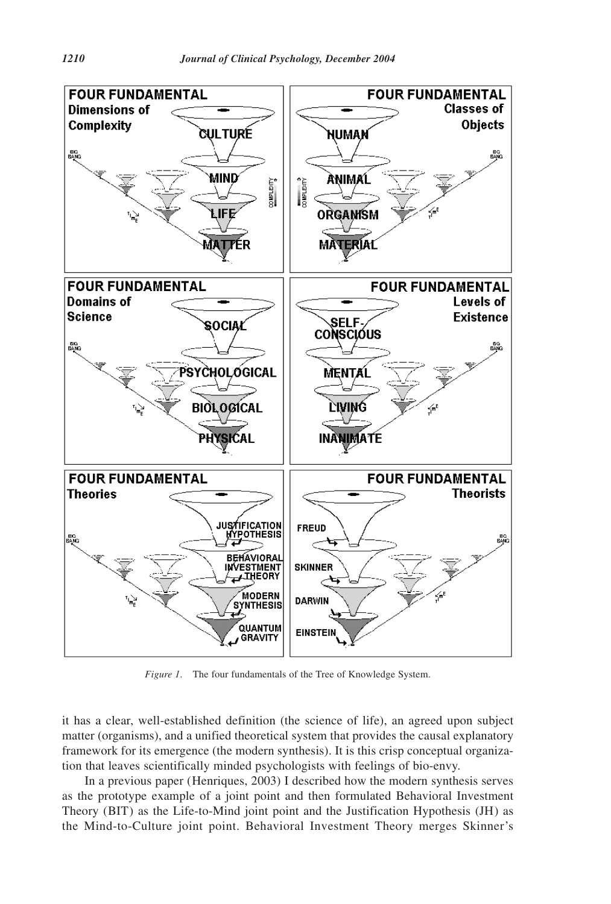

*Figure 1*. The four fundamentals of the Tree of Knowledge System.

it has a clear, well-established definition (the science of life), an agreed upon subject matter (organisms), and a unified theoretical system that provides the causal explanatory framework for its emergence (the modern synthesis). It is this crisp conceptual organization that leaves scientifically minded psychologists with feelings of bio-envy.

In a previous paper (Henriques, 2003) I described how the modern synthesis serves as the prototype example of a joint point and then formulated Behavioral Investment Theory (BIT) as the Life-to-Mind joint point and the Justification Hypothesis (JH) as the Mind-to-Culture joint point. Behavioral Investment Theory merges Skinner's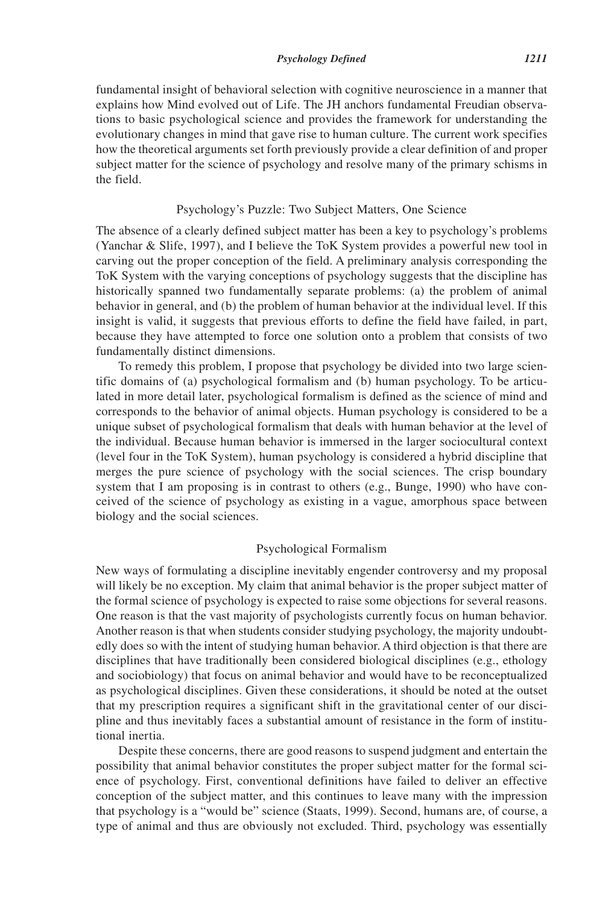fundamental insight of behavioral selection with cognitive neuroscience in a manner that explains how Mind evolved out of Life. The JH anchors fundamental Freudian observations to basic psychological science and provides the framework for understanding the evolutionary changes in mind that gave rise to human culture. The current work specifies how the theoretical arguments set forth previously provide a clear definition of and proper subject matter for the science of psychology and resolve many of the primary schisms in the field.

### Psychology's Puzzle: Two Subject Matters, One Science

The absence of a clearly defined subject matter has been a key to psychology's problems (Yanchar & Slife, 1997), and I believe the ToK System provides a powerful new tool in carving out the proper conception of the field. A preliminary analysis corresponding the ToK System with the varying conceptions of psychology suggests that the discipline has historically spanned two fundamentally separate problems: (a) the problem of animal behavior in general, and (b) the problem of human behavior at the individual level. If this insight is valid, it suggests that previous efforts to define the field have failed, in part, because they have attempted to force one solution onto a problem that consists of two fundamentally distinct dimensions.

To remedy this problem, I propose that psychology be divided into two large scientific domains of (a) psychological formalism and (b) human psychology. To be articulated in more detail later, psychological formalism is defined as the science of mind and corresponds to the behavior of animal objects. Human psychology is considered to be a unique subset of psychological formalism that deals with human behavior at the level of the individual. Because human behavior is immersed in the larger sociocultural context (level four in the ToK System), human psychology is considered a hybrid discipline that merges the pure science of psychology with the social sciences. The crisp boundary system that I am proposing is in contrast to others (e.g., Bunge, 1990) who have conceived of the science of psychology as existing in a vague, amorphous space between biology and the social sciences.

## Psychological Formalism

New ways of formulating a discipline inevitably engender controversy and my proposal will likely be no exception. My claim that animal behavior is the proper subject matter of the formal science of psychology is expected to raise some objections for several reasons. One reason is that the vast majority of psychologists currently focus on human behavior. Another reason is that when students consider studying psychology, the majority undoubtedly does so with the intent of studying human behavior. A third objection is that there are disciplines that have traditionally been considered biological disciplines (e.g., ethology and sociobiology) that focus on animal behavior and would have to be reconceptualized as psychological disciplines. Given these considerations, it should be noted at the outset that my prescription requires a significant shift in the gravitational center of our discipline and thus inevitably faces a substantial amount of resistance in the form of institutional inertia.

Despite these concerns, there are good reasons to suspend judgment and entertain the possibility that animal behavior constitutes the proper subject matter for the formal science of psychology. First, conventional definitions have failed to deliver an effective conception of the subject matter, and this continues to leave many with the impression that psychology is a "would be" science (Staats, 1999). Second, humans are, of course, a type of animal and thus are obviously not excluded. Third, psychology was essentially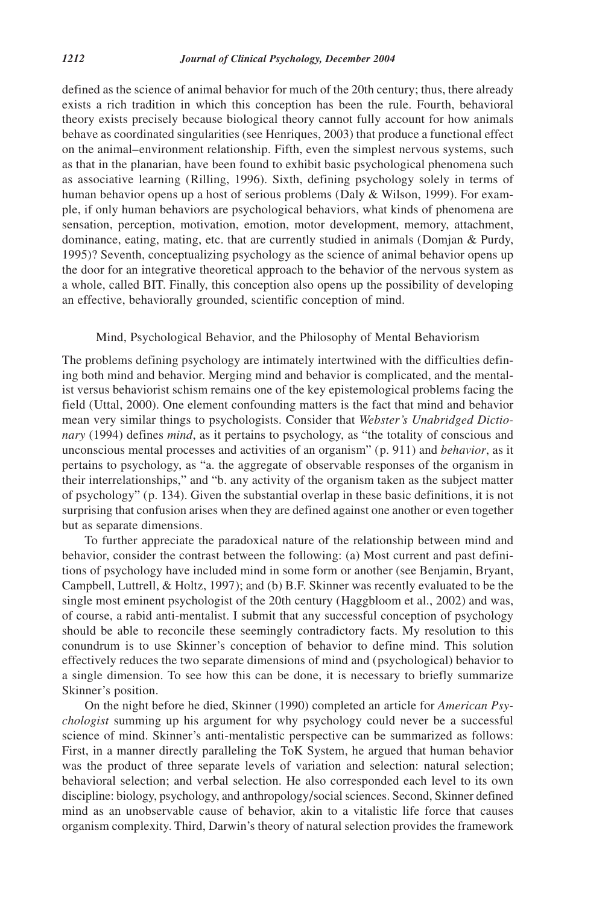defined as the science of animal behavior for much of the 20th century; thus, there already exists a rich tradition in which this conception has been the rule. Fourth, behavioral theory exists precisely because biological theory cannot fully account for how animals behave as coordinated singularities (see Henriques, 2003) that produce a functional effect on the animal–environment relationship. Fifth, even the simplest nervous systems, such as that in the planarian, have been found to exhibit basic psychological phenomena such as associative learning (Rilling, 1996). Sixth, defining psychology solely in terms of human behavior opens up a host of serious problems (Daly & Wilson, 1999). For example, if only human behaviors are psychological behaviors, what kinds of phenomena are sensation, perception, motivation, emotion, motor development, memory, attachment, dominance, eating, mating, etc. that are currently studied in animals (Domjan & Purdy, 1995)? Seventh, conceptualizing psychology as the science of animal behavior opens up the door for an integrative theoretical approach to the behavior of the nervous system as a whole, called BIT. Finally, this conception also opens up the possibility of developing an effective, behaviorally grounded, scientific conception of mind.

#### Mind, Psychological Behavior, and the Philosophy of Mental Behaviorism

The problems defining psychology are intimately intertwined with the difficulties defining both mind and behavior. Merging mind and behavior is complicated, and the mentalist versus behaviorist schism remains one of the key epistemological problems facing the field (Uttal, 2000). One element confounding matters is the fact that mind and behavior mean very similar things to psychologists. Consider that *Webster's Unabridged Dictionary* (1994) defines *mind*, as it pertains to psychology, as "the totality of conscious and unconscious mental processes and activities of an organism" (p. 911) and *behavior*, as it pertains to psychology, as "a. the aggregate of observable responses of the organism in their interrelationships," and "b. any activity of the organism taken as the subject matter of psychology" (p. 134). Given the substantial overlap in these basic definitions, it is not surprising that confusion arises when they are defined against one another or even together but as separate dimensions.

To further appreciate the paradoxical nature of the relationship between mind and behavior, consider the contrast between the following: (a) Most current and past definitions of psychology have included mind in some form or another (see Benjamin, Bryant, Campbell, Luttrell, & Holtz, 1997); and (b) B.F. Skinner was recently evaluated to be the single most eminent psychologist of the 20th century (Haggbloom et al., 2002) and was, of course, a rabid anti-mentalist. I submit that any successful conception of psychology should be able to reconcile these seemingly contradictory facts. My resolution to this conundrum is to use Skinner's conception of behavior to define mind. This solution effectively reduces the two separate dimensions of mind and (psychological) behavior to a single dimension. To see how this can be done, it is necessary to briefly summarize Skinner's position.

On the night before he died, Skinner (1990) completed an article for *American Psychologist* summing up his argument for why psychology could never be a successful science of mind. Skinner's anti-mentalistic perspective can be summarized as follows: First, in a manner directly paralleling the ToK System, he argued that human behavior was the product of three separate levels of variation and selection: natural selection; behavioral selection; and verbal selection. He also corresponded each level to its own discipline: biology, psychology, and anthropology/social sciences. Second, Skinner defined mind as an unobservable cause of behavior, akin to a vitalistic life force that causes organism complexity. Third, Darwin's theory of natural selection provides the framework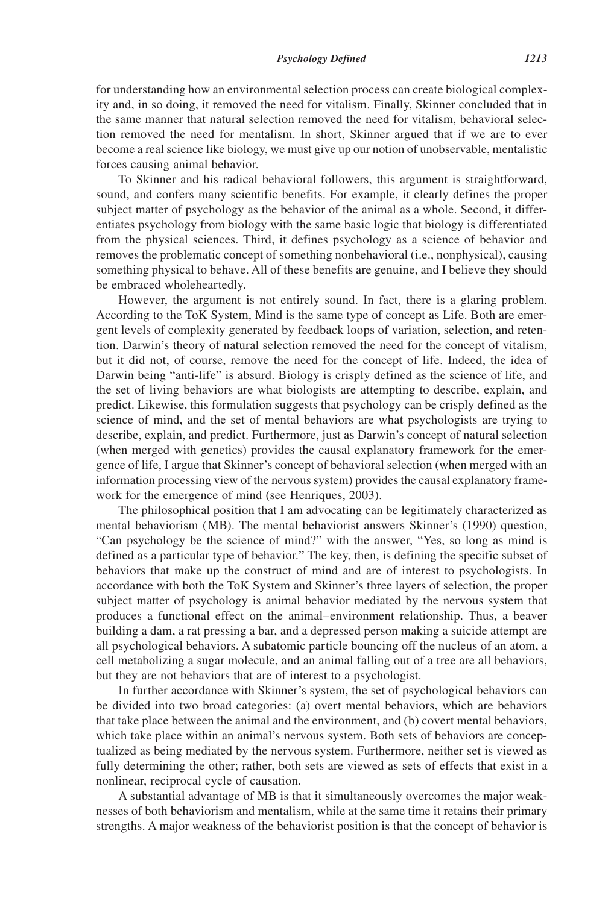for understanding how an environmental selection process can create biological complexity and, in so doing, it removed the need for vitalism. Finally, Skinner concluded that in the same manner that natural selection removed the need for vitalism, behavioral selection removed the need for mentalism. In short, Skinner argued that if we are to ever become a real science like biology, we must give up our notion of unobservable, mentalistic forces causing animal behavior.

To Skinner and his radical behavioral followers, this argument is straightforward, sound, and confers many scientific benefits. For example, it clearly defines the proper subject matter of psychology as the behavior of the animal as a whole. Second, it differentiates psychology from biology with the same basic logic that biology is differentiated from the physical sciences. Third, it defines psychology as a science of behavior and removes the problematic concept of something nonbehavioral (i.e., nonphysical), causing something physical to behave. All of these benefits are genuine, and I believe they should be embraced wholeheartedly.

However, the argument is not entirely sound. In fact, there is a glaring problem. According to the ToK System, Mind is the same type of concept as Life. Both are emergent levels of complexity generated by feedback loops of variation, selection, and retention. Darwin's theory of natural selection removed the need for the concept of vitalism, but it did not, of course, remove the need for the concept of life. Indeed, the idea of Darwin being "anti-life" is absurd. Biology is crisply defined as the science of life, and the set of living behaviors are what biologists are attempting to describe, explain, and predict. Likewise, this formulation suggests that psychology can be crisply defined as the science of mind, and the set of mental behaviors are what psychologists are trying to describe, explain, and predict. Furthermore, just as Darwin's concept of natural selection (when merged with genetics) provides the causal explanatory framework for the emergence of life, I argue that Skinner's concept of behavioral selection (when merged with an information processing view of the nervous system) provides the causal explanatory framework for the emergence of mind (see Henriques, 2003).

The philosophical position that I am advocating can be legitimately characterized as mental behaviorism (MB). The mental behaviorist answers Skinner's (1990) question, "Can psychology be the science of mind?" with the answer, "Yes, so long as mind is defined as a particular type of behavior." The key, then, is defining the specific subset of behaviors that make up the construct of mind and are of interest to psychologists. In accordance with both the ToK System and Skinner's three layers of selection, the proper subject matter of psychology is animal behavior mediated by the nervous system that produces a functional effect on the animal–environment relationship. Thus, a beaver building a dam, a rat pressing a bar, and a depressed person making a suicide attempt are all psychological behaviors. A subatomic particle bouncing off the nucleus of an atom, a cell metabolizing a sugar molecule, and an animal falling out of a tree are all behaviors, but they are not behaviors that are of interest to a psychologist.

In further accordance with Skinner's system, the set of psychological behaviors can be divided into two broad categories: (a) overt mental behaviors, which are behaviors that take place between the animal and the environment, and (b) covert mental behaviors, which take place within an animal's nervous system. Both sets of behaviors are conceptualized as being mediated by the nervous system. Furthermore, neither set is viewed as fully determining the other; rather, both sets are viewed as sets of effects that exist in a nonlinear, reciprocal cycle of causation.

A substantial advantage of MB is that it simultaneously overcomes the major weaknesses of both behaviorism and mentalism, while at the same time it retains their primary strengths. A major weakness of the behaviorist position is that the concept of behavior is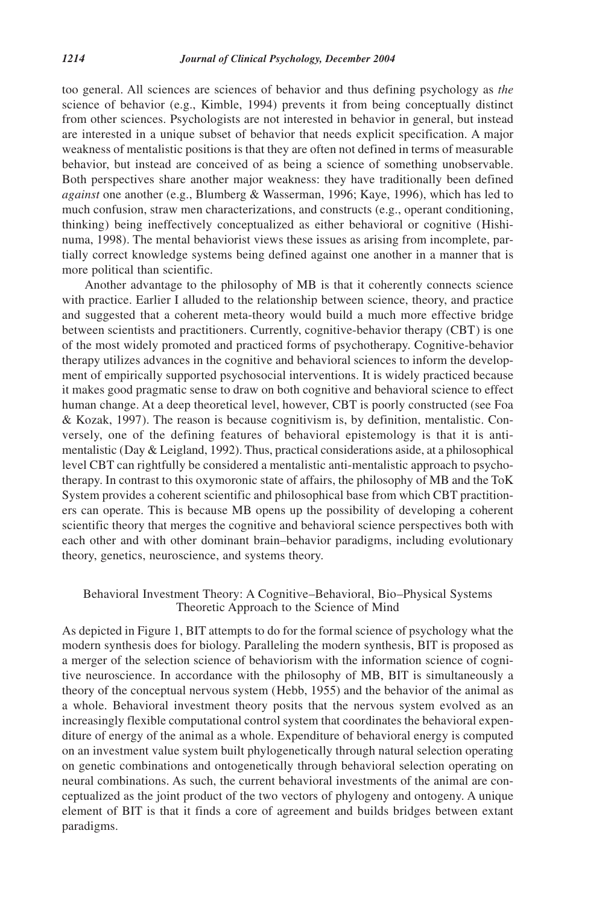too general. All sciences are sciences of behavior and thus defining psychology as *the* science of behavior (e.g., Kimble, 1994) prevents it from being conceptually distinct from other sciences. Psychologists are not interested in behavior in general, but instead are interested in a unique subset of behavior that needs explicit specification. A major weakness of mentalistic positions is that they are often not defined in terms of measurable behavior, but instead are conceived of as being a science of something unobservable. Both perspectives share another major weakness: they have traditionally been defined *against* one another (e.g., Blumberg & Wasserman, 1996; Kaye, 1996), which has led to much confusion, straw men characterizations, and constructs (e.g., operant conditioning, thinking) being ineffectively conceptualized as either behavioral or cognitive (Hishinuma, 1998). The mental behaviorist views these issues as arising from incomplete, partially correct knowledge systems being defined against one another in a manner that is more political than scientific.

Another advantage to the philosophy of MB is that it coherently connects science with practice. Earlier I alluded to the relationship between science, theory, and practice and suggested that a coherent meta-theory would build a much more effective bridge between scientists and practitioners. Currently, cognitive-behavior therapy (CBT) is one of the most widely promoted and practiced forms of psychotherapy. Cognitive-behavior therapy utilizes advances in the cognitive and behavioral sciences to inform the development of empirically supported psychosocial interventions. It is widely practiced because it makes good pragmatic sense to draw on both cognitive and behavioral science to effect human change. At a deep theoretical level, however, CBT is poorly constructed (see Foa & Kozak, 1997). The reason is because cognitivism is, by definition, mentalistic. Conversely, one of the defining features of behavioral epistemology is that it is antimentalistic (Day & Leigland, 1992). Thus, practical considerations aside, at a philosophical level CBT can rightfully be considered a mentalistic anti-mentalistic approach to psychotherapy. In contrast to this oxymoronic state of affairs, the philosophy of MB and the ToK System provides a coherent scientific and philosophical base from which CBT practitioners can operate. This is because MB opens up the possibility of developing a coherent scientific theory that merges the cognitive and behavioral science perspectives both with each other and with other dominant brain–behavior paradigms, including evolutionary theory, genetics, neuroscience, and systems theory.

## Behavioral Investment Theory: A Cognitive–Behavioral, Bio–Physical Systems Theoretic Approach to the Science of Mind

As depicted in Figure 1, BIT attempts to do for the formal science of psychology what the modern synthesis does for biology. Paralleling the modern synthesis, BIT is proposed as a merger of the selection science of behaviorism with the information science of cognitive neuroscience. In accordance with the philosophy of MB, BIT is simultaneously a theory of the conceptual nervous system (Hebb, 1955) and the behavior of the animal as a whole. Behavioral investment theory posits that the nervous system evolved as an increasingly flexible computational control system that coordinates the behavioral expenditure of energy of the animal as a whole. Expenditure of behavioral energy is computed on an investment value system built phylogenetically through natural selection operating on genetic combinations and ontogenetically through behavioral selection operating on neural combinations. As such, the current behavioral investments of the animal are conceptualized as the joint product of the two vectors of phylogeny and ontogeny. A unique element of BIT is that it finds a core of agreement and builds bridges between extant paradigms.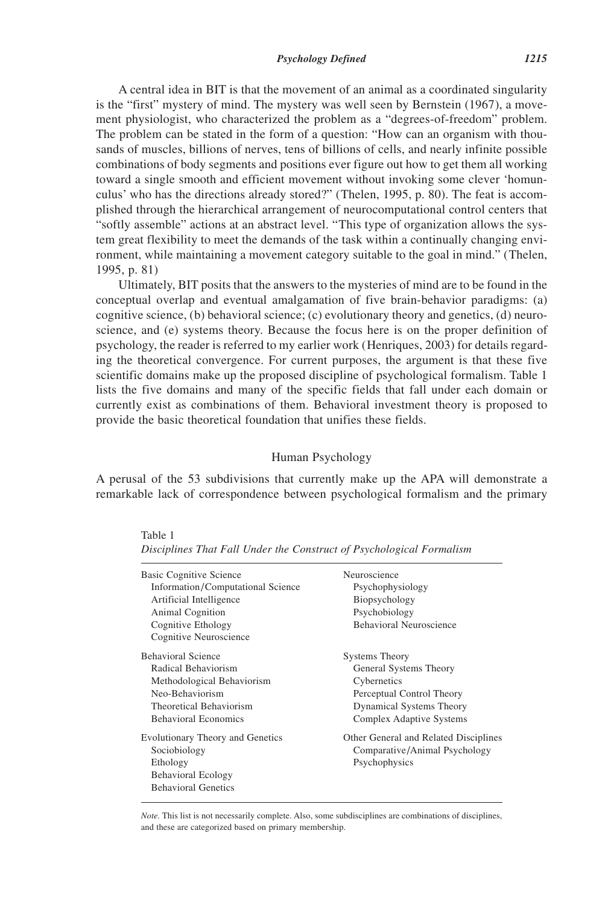A central idea in BIT is that the movement of an animal as a coordinated singularity is the "first" mystery of mind. The mystery was well seen by Bernstein (1967), a movement physiologist, who characterized the problem as a "degrees-of-freedom" problem. The problem can be stated in the form of a question: "How can an organism with thousands of muscles, billions of nerves, tens of billions of cells, and nearly infinite possible combinations of body segments and positions ever figure out how to get them all working toward a single smooth and efficient movement without invoking some clever 'homunculus' who has the directions already stored?" (Thelen, 1995, p. 80). The feat is accomplished through the hierarchical arrangement of neurocomputational control centers that "softly assemble" actions at an abstract level. "This type of organization allows the system great flexibility to meet the demands of the task within a continually changing environment, while maintaining a movement category suitable to the goal in mind." (Thelen, 1995, p. 81)

Ultimately, BIT posits that the answers to the mysteries of mind are to be found in the conceptual overlap and eventual amalgamation of five brain-behavior paradigms: (a) cognitive science, (b) behavioral science; (c) evolutionary theory and genetics, (d) neuroscience, and (e) systems theory. Because the focus here is on the proper definition of psychology, the reader is referred to my earlier work (Henriques, 2003) for details regarding the theoretical convergence. For current purposes, the argument is that these five scientific domains make up the proposed discipline of psychological formalism. Table 1 lists the five domains and many of the specific fields that fall under each domain or currently exist as combinations of them. Behavioral investment theory is proposed to provide the basic theoretical foundation that unifies these fields.

#### Human Psychology

A perusal of the 53 subdivisions that currently make up the APA will demonstrate a remarkable lack of correspondence between psychological formalism and the primary

| <b>Basic Cognitive Science</b><br>Information/Computational Science<br>Artificial Intelligence<br>Animal Cognition<br>Cognitive Ethology<br>Cognitive Neuroscience | Neuroscience<br>Psychophysiology<br>Biopsychology<br>Psychobiology<br><b>Behavioral Neuroscience</b>                                                |
|--------------------------------------------------------------------------------------------------------------------------------------------------------------------|-----------------------------------------------------------------------------------------------------------------------------------------------------|
| <b>Behavioral Science</b><br>Radical Behaviorism<br>Methodological Behaviorism<br>Neo-Behaviorism<br>Theoretical Behaviorism<br><b>Behavioral Economics</b>        | <b>Systems Theory</b><br>General Systems Theory<br>Cybernetics<br>Perceptual Control Theory<br>Dynamical Systems Theory<br>Complex Adaptive Systems |
| <b>Evolutionary Theory and Genetics</b><br>Sociobiology<br>Ethology<br>Behavioral Ecology<br><b>Behavioral Genetics</b>                                            | Other General and Related Disciplines<br>Comparative/Animal Psychology<br>Psychophysics                                                             |

Table 1 *Disciplines That Fall Under the Construct of Psychological Formalism*

*Note.* This list is not necessarily complete. Also, some subdisciplines are combinations of disciplines, and these are categorized based on primary membership.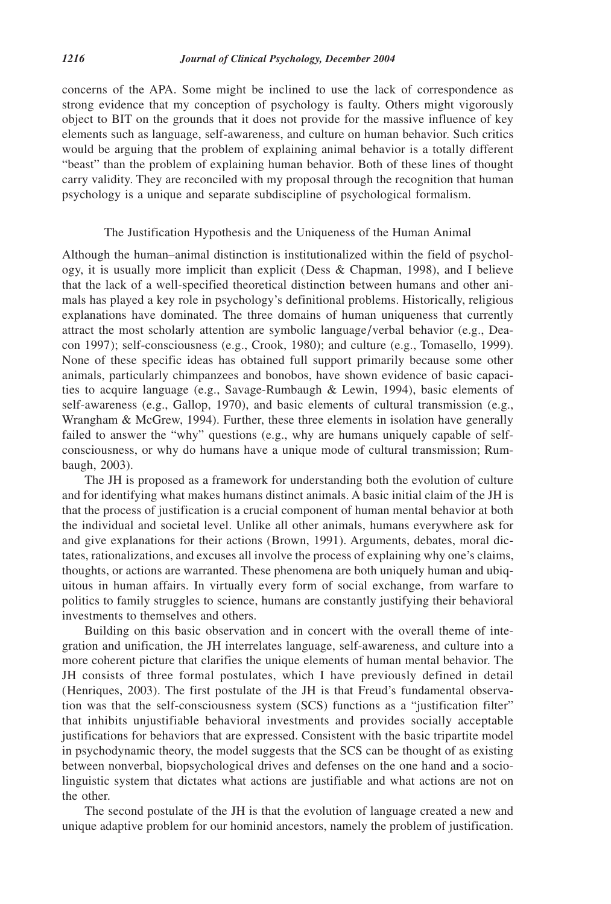concerns of the APA. Some might be inclined to use the lack of correspondence as strong evidence that my conception of psychology is faulty. Others might vigorously object to BIT on the grounds that it does not provide for the massive influence of key elements such as language, self-awareness, and culture on human behavior. Such critics would be arguing that the problem of explaining animal behavior is a totally different "beast" than the problem of explaining human behavior. Both of these lines of thought carry validity. They are reconciled with my proposal through the recognition that human psychology is a unique and separate subdiscipline of psychological formalism.

#### The Justification Hypothesis and the Uniqueness of the Human Animal

Although the human–animal distinction is institutionalized within the field of psychology, it is usually more implicit than explicit (Dess & Chapman, 1998), and I believe that the lack of a well-specified theoretical distinction between humans and other animals has played a key role in psychology's definitional problems. Historically, religious explanations have dominated. The three domains of human uniqueness that currently attract the most scholarly attention are symbolic language/verbal behavior (e.g., Deacon 1997); self-consciousness (e.g., Crook, 1980); and culture (e.g., Tomasello, 1999). None of these specific ideas has obtained full support primarily because some other animals, particularly chimpanzees and bonobos, have shown evidence of basic capacities to acquire language (e.g., Savage-Rumbaugh & Lewin, 1994), basic elements of self-awareness (e.g., Gallop, 1970), and basic elements of cultural transmission (e.g., Wrangham & McGrew, 1994). Further, these three elements in isolation have generally failed to answer the "why" questions (e.g., why are humans uniquely capable of selfconsciousness, or why do humans have a unique mode of cultural transmission; Rumbaugh, 2003).

The JH is proposed as a framework for understanding both the evolution of culture and for identifying what makes humans distinct animals. A basic initial claim of the JH is that the process of justification is a crucial component of human mental behavior at both the individual and societal level. Unlike all other animals, humans everywhere ask for and give explanations for their actions (Brown, 1991). Arguments, debates, moral dictates, rationalizations, and excuses all involve the process of explaining why one's claims, thoughts, or actions are warranted. These phenomena are both uniquely human and ubiquitous in human affairs. In virtually every form of social exchange, from warfare to politics to family struggles to science, humans are constantly justifying their behavioral investments to themselves and others.

Building on this basic observation and in concert with the overall theme of integration and unification, the JH interrelates language, self-awareness, and culture into a more coherent picture that clarifies the unique elements of human mental behavior. The JH consists of three formal postulates, which I have previously defined in detail (Henriques, 2003). The first postulate of the JH is that Freud's fundamental observation was that the self-consciousness system (SCS) functions as a "justification filter" that inhibits unjustifiable behavioral investments and provides socially acceptable justifications for behaviors that are expressed. Consistent with the basic tripartite model in psychodynamic theory, the model suggests that the SCS can be thought of as existing between nonverbal, biopsychological drives and defenses on the one hand and a sociolinguistic system that dictates what actions are justifiable and what actions are not on the other.

The second postulate of the JH is that the evolution of language created a new and unique adaptive problem for our hominid ancestors, namely the problem of justification.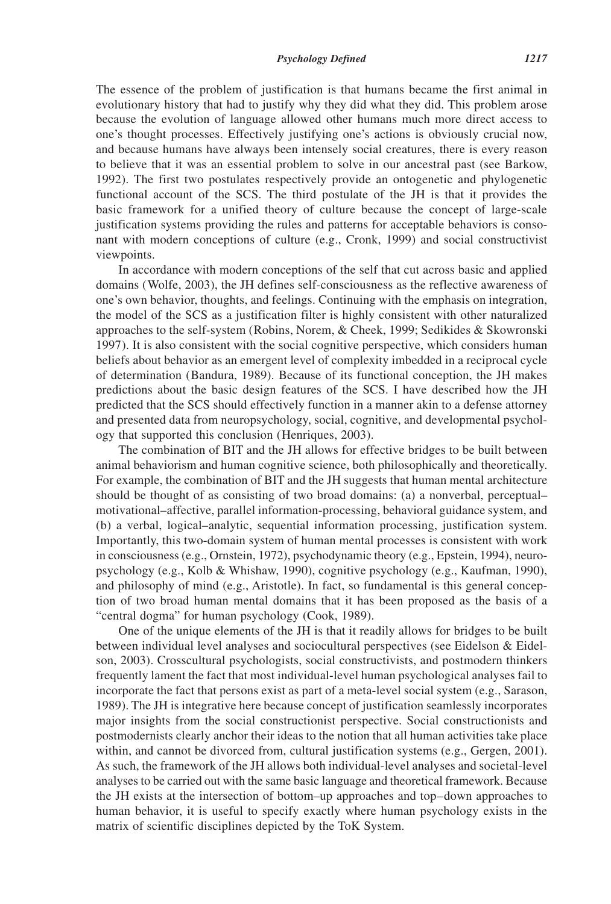The essence of the problem of justification is that humans became the first animal in evolutionary history that had to justify why they did what they did. This problem arose because the evolution of language allowed other humans much more direct access to one's thought processes. Effectively justifying one's actions is obviously crucial now, and because humans have always been intensely social creatures, there is every reason to believe that it was an essential problem to solve in our ancestral past (see Barkow, 1992). The first two postulates respectively provide an ontogenetic and phylogenetic functional account of the SCS. The third postulate of the JH is that it provides the basic framework for a unified theory of culture because the concept of large-scale justification systems providing the rules and patterns for acceptable behaviors is consonant with modern conceptions of culture (e.g., Cronk, 1999) and social constructivist viewpoints.

In accordance with modern conceptions of the self that cut across basic and applied domains (Wolfe, 2003), the JH defines self-consciousness as the reflective awareness of one's own behavior, thoughts, and feelings. Continuing with the emphasis on integration, the model of the SCS as a justification filter is highly consistent with other naturalized approaches to the self-system (Robins, Norem, & Cheek, 1999; Sedikides & Skowronski 1997). It is also consistent with the social cognitive perspective, which considers human beliefs about behavior as an emergent level of complexity imbedded in a reciprocal cycle of determination (Bandura, 1989). Because of its functional conception, the JH makes predictions about the basic design features of the SCS. I have described how the JH predicted that the SCS should effectively function in a manner akin to a defense attorney and presented data from neuropsychology, social, cognitive, and developmental psychology that supported this conclusion (Henriques, 2003).

The combination of BIT and the JH allows for effective bridges to be built between animal behaviorism and human cognitive science, both philosophically and theoretically. For example, the combination of BIT and the JH suggests that human mental architecture should be thought of as consisting of two broad domains: (a) a nonverbal, perceptual– motivational–affective, parallel information-processing, behavioral guidance system, and (b) a verbal, logical–analytic, sequential information processing, justification system. Importantly, this two-domain system of human mental processes is consistent with work in consciousness (e.g., Ornstein, 1972), psychodynamic theory (e.g., Epstein, 1994), neuropsychology (e.g., Kolb & Whishaw, 1990), cognitive psychology (e.g., Kaufman, 1990), and philosophy of mind (e.g., Aristotle). In fact, so fundamental is this general conception of two broad human mental domains that it has been proposed as the basis of a "central dogma" for human psychology (Cook, 1989).

One of the unique elements of the JH is that it readily allows for bridges to be built between individual level analyses and sociocultural perspectives (see Eidelson & Eidelson, 2003). Crosscultural psychologists, social constructivists, and postmodern thinkers frequently lament the fact that most individual-level human psychological analyses fail to incorporate the fact that persons exist as part of a meta-level social system (e.g., Sarason, 1989). The JH is integrative here because concept of justification seamlessly incorporates major insights from the social constructionist perspective. Social constructionists and postmodernists clearly anchor their ideas to the notion that all human activities take place within, and cannot be divorced from, cultural justification systems (e.g., Gergen, 2001). As such, the framework of the JH allows both individual-level analyses and societal-level analyses to be carried out with the same basic language and theoretical framework. Because the JH exists at the intersection of bottom–up approaches and top–down approaches to human behavior, it is useful to specify exactly where human psychology exists in the matrix of scientific disciplines depicted by the ToK System.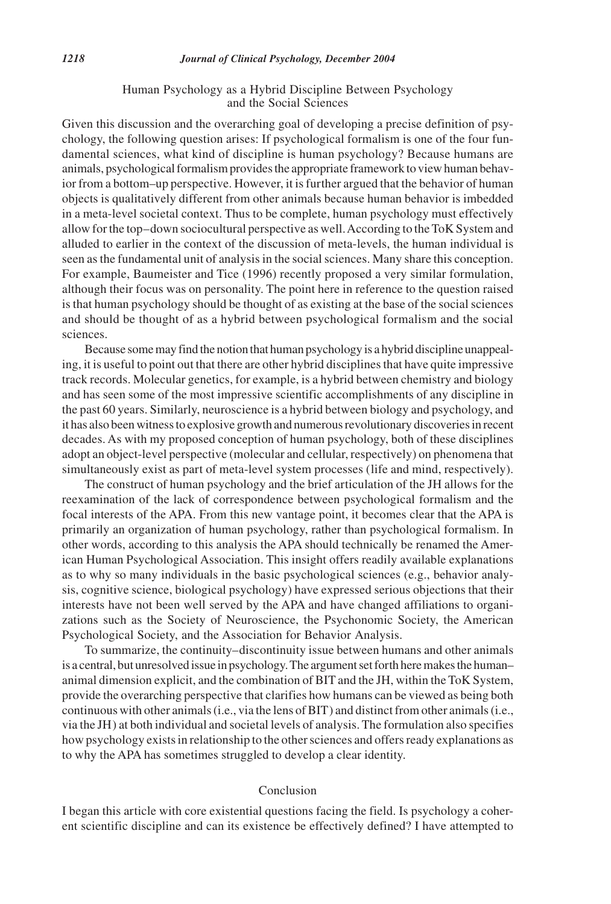## Human Psychology as a Hybrid Discipline Between Psychology and the Social Sciences

Given this discussion and the overarching goal of developing a precise definition of psychology, the following question arises: If psychological formalism is one of the four fundamental sciences, what kind of discipline is human psychology? Because humans are animals, psychological formalism provides the appropriate framework to view human behavior from a bottom–up perspective. However, it is further argued that the behavior of human objects is qualitatively different from other animals because human behavior is imbedded in a meta-level societal context. Thus to be complete, human psychology must effectively allow for the top–down sociocultural perspective as well.According to the ToK System and alluded to earlier in the context of the discussion of meta-levels, the human individual is seen as the fundamental unit of analysis in the social sciences. Many share this conception. For example, Baumeister and Tice (1996) recently proposed a very similar formulation, although their focus was on personality. The point here in reference to the question raised is that human psychology should be thought of as existing at the base of the social sciences and should be thought of as a hybrid between psychological formalism and the social sciences.

Because some may find the notion that human psychology is a hybrid discipline unappealing, it is useful to point out that there are other hybrid disciplines that have quite impressive track records. Molecular genetics, for example, is a hybrid between chemistry and biology and has seen some of the most impressive scientific accomplishments of any discipline in the past 60 years. Similarly, neuroscience is a hybrid between biology and psychology, and it has also been witness to explosive growth and numerous revolutionary discoveries in recent decades. As with my proposed conception of human psychology, both of these disciplines adopt an object-level perspective (molecular and cellular, respectively) on phenomena that simultaneously exist as part of meta-level system processes (life and mind, respectively).

The construct of human psychology and the brief articulation of the JH allows for the reexamination of the lack of correspondence between psychological formalism and the focal interests of the APA. From this new vantage point, it becomes clear that the APA is primarily an organization of human psychology, rather than psychological formalism. In other words, according to this analysis the APA should technically be renamed the American Human Psychological Association. This insight offers readily available explanations as to why so many individuals in the basic psychological sciences (e.g., behavior analysis, cognitive science, biological psychology) have expressed serious objections that their interests have not been well served by the APA and have changed affiliations to organizations such as the Society of Neuroscience, the Psychonomic Society, the American Psychological Society, and the Association for Behavior Analysis.

To summarize, the continuity–discontinuity issue between humans and other animals is a central, but unresolved issue in psychology.The argument set forth here makes the human– animal dimension explicit, and the combination of BIT and the JH, within the ToK System, provide the overarching perspective that clarifies how humans can be viewed as being both continuous with other animals (i.e., via the lens of BIT) and distinct from other animals (i.e., via the JH) at both individual and societal levels of analysis. The formulation also specifies how psychology exists in relationship to the other sciences and offers ready explanations as to why the APA has sometimes struggled to develop a clear identity.

#### Conclusion

I began this article with core existential questions facing the field. Is psychology a coherent scientific discipline and can its existence be effectively defined? I have attempted to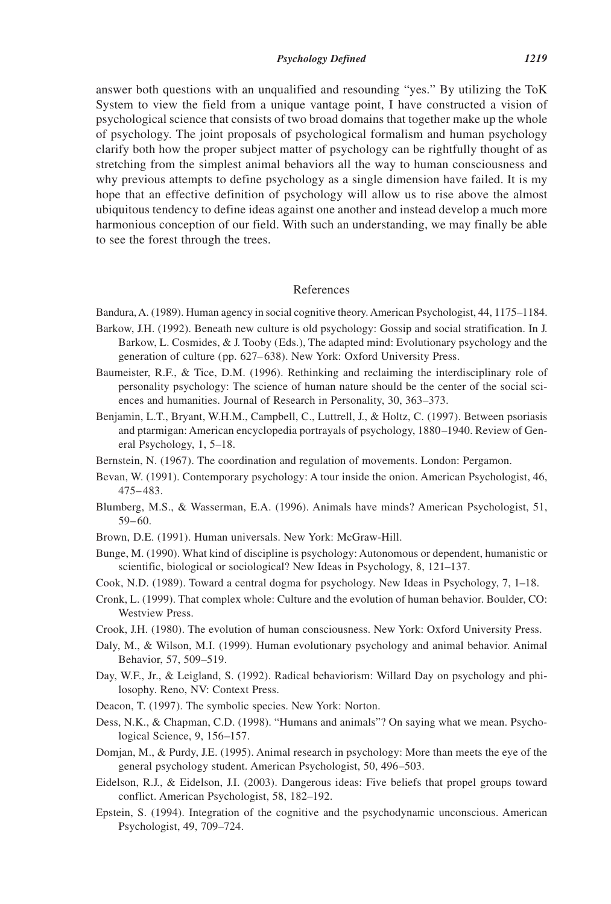#### *Psychology Defined 1219*

answer both questions with an unqualified and resounding "yes." By utilizing the ToK System to view the field from a unique vantage point, I have constructed a vision of psychological science that consists of two broad domains that together make up the whole of psychology. The joint proposals of psychological formalism and human psychology clarify both how the proper subject matter of psychology can be rightfully thought of as stretching from the simplest animal behaviors all the way to human consciousness and why previous attempts to define psychology as a single dimension have failed. It is my hope that an effective definition of psychology will allow us to rise above the almost ubiquitous tendency to define ideas against one another and instead develop a much more harmonious conception of our field. With such an understanding, we may finally be able to see the forest through the trees.

#### References

Bandura, A. (1989). Human agency in social cognitive theory. American Psychologist, 44, 1175–1184.

- Barkow, J.H. (1992). Beneath new culture is old psychology: Gossip and social stratification. In J. Barkow, L. Cosmides, & J. Tooby (Eds.), The adapted mind: Evolutionary psychology and the generation of culture (pp. 627–638). New York: Oxford University Press.
- Baumeister, R.F., & Tice, D.M. (1996). Rethinking and reclaiming the interdisciplinary role of personality psychology: The science of human nature should be the center of the social sciences and humanities. Journal of Research in Personality, 30, 363–373.
- Benjamin, L.T., Bryant, W.H.M., Campbell, C., Luttrell, J., & Holtz, C. (1997). Between psoriasis and ptarmigan: American encyclopedia portrayals of psychology, 1880–1940. Review of General Psychology, 1, 5–18.
- Bernstein, N. (1967). The coordination and regulation of movements. London: Pergamon.
- Bevan, W. (1991). Contemporary psychology: A tour inside the onion. American Psychologist, 46, 475– 483.
- Blumberg, M.S., & Wasserman, E.A. (1996). Animals have minds? American Psychologist, 51,  $59-60.$
- Brown, D.E. (1991). Human universals. New York: McGraw-Hill.
- Bunge, M. (1990). What kind of discipline is psychology: Autonomous or dependent, humanistic or scientific, biological or sociological? New Ideas in Psychology, 8, 121–137.
- Cook, N.D. (1989). Toward a central dogma for psychology. New Ideas in Psychology, 7, 1–18.
- Cronk, L. (1999). That complex whole: Culture and the evolution of human behavior. Boulder, CO: Westview Press.
- Crook, J.H. (1980). The evolution of human consciousness. New York: Oxford University Press.
- Daly, M., & Wilson, M.I. (1999). Human evolutionary psychology and animal behavior. Animal Behavior, 57, 509–519.
- Day, W.F., Jr., & Leigland, S. (1992). Radical behaviorism: Willard Day on psychology and philosophy. Reno, NV: Context Press.
- Deacon, T. (1997). The symbolic species. New York: Norton.
- Dess, N.K., & Chapman, C.D. (1998). "Humans and animals"? On saying what we mean. Psychological Science, 9, 156–157.
- Domjan, M., & Purdy, J.E. (1995). Animal research in psychology: More than meets the eye of the general psychology student. American Psychologist, 50, 496–503.
- Eidelson, R.J., & Eidelson, J.I. (2003). Dangerous ideas: Five beliefs that propel groups toward conflict. American Psychologist, 58, 182–192.
- Epstein, S. (1994). Integration of the cognitive and the psychodynamic unconscious. American Psychologist, 49, 709–724.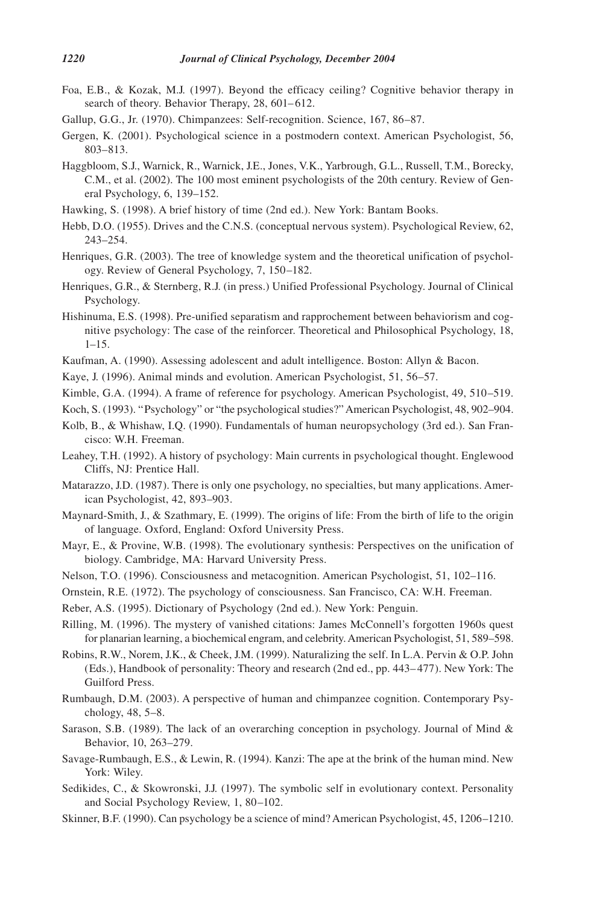- Foa, E.B., & Kozak, M.J. (1997). Beyond the efficacy ceiling? Cognitive behavior therapy in search of theory. Behavior Therapy, 28, 601-612.
- Gallup, G.G., Jr. (1970). Chimpanzees: Self-recognition. Science, 167, 86–87.
- Gergen, K. (2001). Psychological science in a postmodern context. American Psychologist, 56, 803–813.
- Haggbloom, S.J., Warnick, R., Warnick, J.E., Jones, V.K., Yarbrough, G.L., Russell, T.M., Borecky, C.M., et al. (2002). The 100 most eminent psychologists of the 20th century. Review of General Psychology, 6, 139–152.
- Hawking, S. (1998). A brief history of time (2nd ed.). New York: Bantam Books.
- Hebb, D.O. (1955). Drives and the C.N.S. (conceptual nervous system). Psychological Review, 62, 243–254.
- Henriques, G.R. (2003). The tree of knowledge system and the theoretical unification of psychology. Review of General Psychology, 7, 150–182.
- Henriques, G.R., & Sternberg, R.J. (in press.) Unified Professional Psychology. Journal of Clinical Psychology.
- Hishinuma, E.S. (1998). Pre-unified separatism and rapprochement between behaviorism and cognitive psychology: The case of the reinforcer. Theoretical and Philosophical Psychology, 18,  $1 - 15$ .
- Kaufman, A. (1990). Assessing adolescent and adult intelligence. Boston: Allyn & Bacon.
- Kaye, J. (1996). Animal minds and evolution. American Psychologist, 51, 56–57.

Kimble, G.A. (1994). A frame of reference for psychology. American Psychologist, 49, 510–519.

- Koch, S. (1993). "Psychology" or "the psychological studies?" American Psychologist, 48, 902–904.
- Kolb, B., & Whishaw, I.Q. (1990). Fundamentals of human neuropsychology (3rd ed.). San Francisco: W.H. Freeman.
- Leahey, T.H. (1992). A history of psychology: Main currents in psychological thought. Englewood Cliffs, NJ: Prentice Hall.
- Matarazzo, J.D. (1987). There is only one psychology, no specialties, but many applications. American Psychologist, 42, 893–903.
- Maynard-Smith, J., & Szathmary, E. (1999). The origins of life: From the birth of life to the origin of language. Oxford, England: Oxford University Press.
- Mayr, E., & Provine, W.B. (1998). The evolutionary synthesis: Perspectives on the unification of biology. Cambridge, MA: Harvard University Press.
- Nelson, T.O. (1996). Consciousness and metacognition. American Psychologist, 51, 102–116.
- Ornstein, R.E. (1972). The psychology of consciousness. San Francisco, CA: W.H. Freeman.
- Reber, A.S. (1995). Dictionary of Psychology (2nd ed.). New York: Penguin.
- Rilling, M. (1996). The mystery of vanished citations: James McConnell's forgotten 1960s quest for planarian learning, a biochemical engram, and celebrity. American Psychologist, 51, 589–598.
- Robins, R.W., Norem, J.K., & Cheek, J.M. (1999). Naturalizing the self. In L.A. Pervin & O.P. John (Eds.), Handbook of personality: Theory and research (2nd ed., pp. 443– 477). New York: The Guilford Press.
- Rumbaugh, D.M. (2003). A perspective of human and chimpanzee cognition. Contemporary Psychology, 48, 5–8.
- Sarason, S.B. (1989). The lack of an overarching conception in psychology. Journal of Mind & Behavior, 10, 263–279.
- Savage-Rumbaugh, E.S., & Lewin, R. (1994). Kanzi: The ape at the brink of the human mind. New York: Wiley.
- Sedikides, C., & Skowronski, J.J. (1997). The symbolic self in evolutionary context. Personality and Social Psychology Review, 1, 80–102.
- Skinner, B.F. (1990). Can psychology be a science of mind? American Psychologist, 45, 1206–1210.